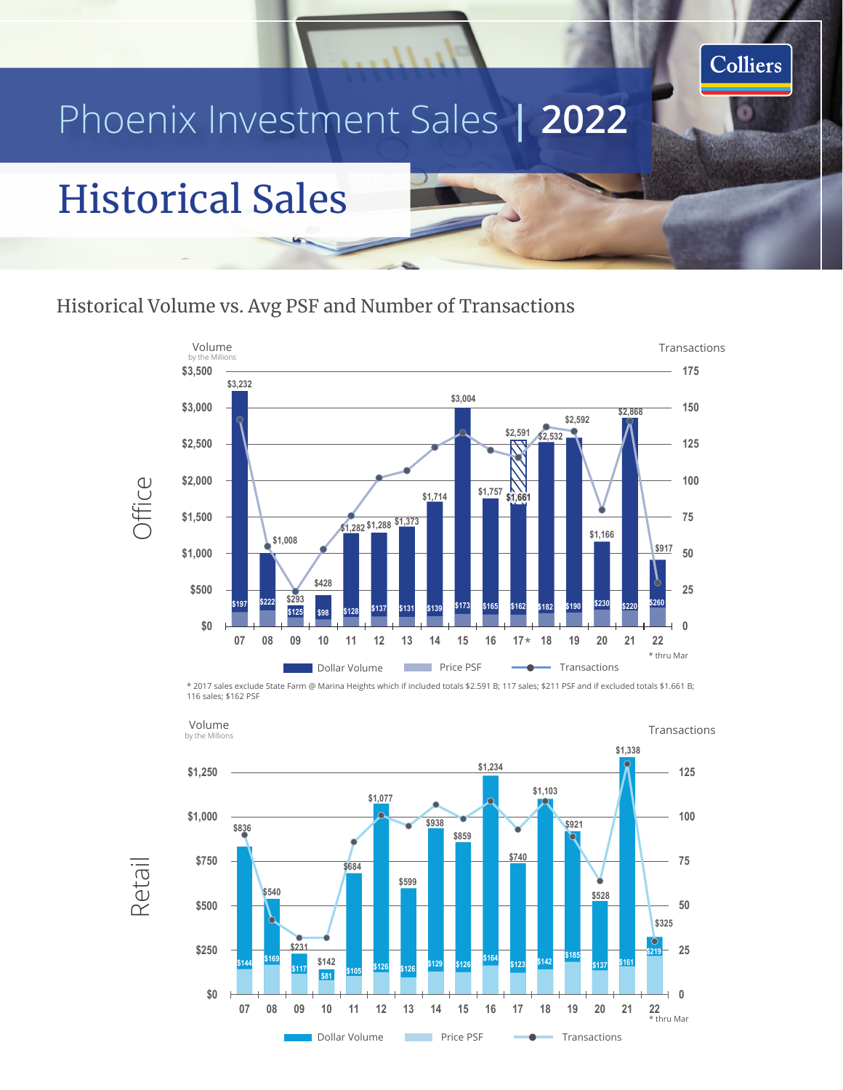# Phoenix Investment Sales **| 2022**

## Historical Sales

#### Historical Volume vs. Avg PSF and Number of Transactions



Colliers

**V V V C C T Transference Transference Transference Transference Transference** \* 2017 sales exclude State Farm @ Marina Heights which if included totals \$2.591 B; 117 sales; \$211 PSF and if excluded totals \$1.661 B; 116 sales; \$162 PSF



Retail